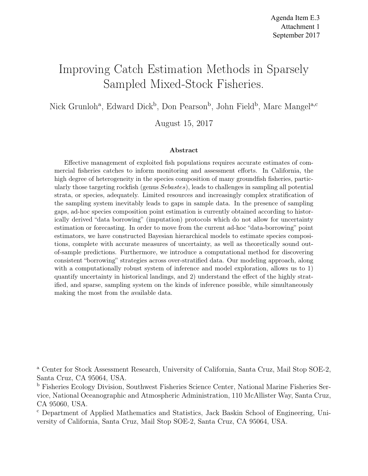# Improving Catch Estimation Methods in Sparsely Sampled Mixed-Stock Fisheries.

Nick Grunloh<sup>a</sup>, Edward Dick<sup>b</sup>, Don Pearson<sup>b</sup>, John Field<sup>b</sup>, Marc Mangel<sup>a,c</sup>

August 15, 2017

#### Abstract

Effective management of exploited fish populations requires accurate estimates of commercial fisheries catches to inform monitoring and assessment efforts. In California, the high degree of heterogeneity in the species composition of many groundfish fisheries, particularly those targeting rockfish (genus Sebastes), leads to challenges in sampling all potential strata, or species, adequately. Limited resources and increasingly complex stratification of the sampling system inevitably leads to gaps in sample data. In the presence of sampling gaps, ad-hoc species composition point estimation is currently obtained according to historically derived "data borrowing" (imputation) protocols which do not allow for uncertainty estimation or forecasting. In order to move from the current ad-hoc "data-borrowing" point estimators, we have constructed Bayesian hierarchical models to estimate species compositions, complete with accurate measures of uncertainty, as well as theoretically sound outof-sample predictions. Furthermore, we introduce a computational method for discovering consistent "borrowing" strategies across over-stratified data. Our modeling approach, along with a computationally robust system of inference and model exploration, allows us to 1) quantify uncertainty in historical landings, and 2) understand the effect of the highly stratified, and sparse, sampling system on the kinds of inference possible, while simultaneously making the most from the available data.

<sup>a</sup> Center for Stock Assessment Research, University of California, Santa Cruz, Mail Stop SOE-2, Santa Cruz, CA 95064, USA.

<sup>b</sup> Fisheries Ecology Division, Southwest Fisheries Science Center, National Marine Fisheries Service, National Oceanographic and Atmospheric Administration, 110 McAllister Way, Santa Cruz, CA 95060, USA.

<sup>c</sup> Department of Applied Mathematics and Statistics, Jack Baskin School of Engineering, University of California, Santa Cruz, Mail Stop SOE-2, Santa Cruz, CA 95064, USA.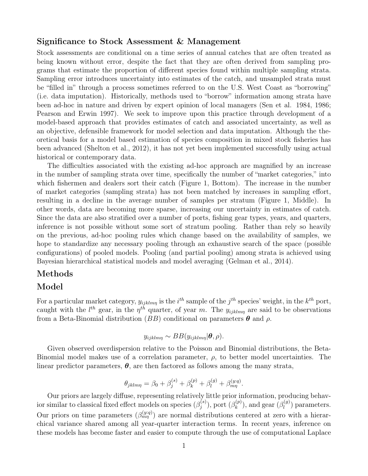#### Significance to Stock Assessment & Management

Stock assessments are conditional on a time series of annual catches that are often treated as being known without error, despite the fact that they are often derived from sampling programs that estimate the proportion of different species found within multiple sampling strata. Sampling error introduces uncertainty into estimates of the catch, and unsampled strata must be "filled in" through a process sometimes referred to on the U.S. West Coast as "borrowing" (i.e. data imputation). Historically, methods used to "borrow" information among strata have been ad-hoc in nature and driven by expert opinion of local managers (Sen et al. 1984, 1986; Pearson and Erwin 1997). We seek to improve upon this practice through development of a model-based approach that provides estimates of catch and associated uncertainty, as well as an objective, defensible framework for model selection and data imputation. Although the theoretical basis for a model based estimation of species composition in mixed stock fisheries has been advanced (Shelton et al., 2012), it has not yet been implemented successfully using actual historical or contemporary data.

The difficulties associated with the existing ad-hoc approach are magnified by an increase in the number of sampling strata over time, specifically the number of "market categories," into which fishermen and dealers sort their catch (Figure 1, Bottom). The increase in the number of market categories (sampling strata) has not been matched by increases in sampling effort, resulting in a decline in the average number of samples per stratum (Figure 1, Middle). In other words, data are becoming more sparse, increasing our uncertainty in estimates of catch. Since the data are also stratified over a number of ports, fishing gear types, years, and quarters, inference is not possible without some sort of stratum pooling. Rather than rely so heavily on the previous, ad-hoc pooling rules which change based on the availability of samples, we hope to standardize any necessary pooling through an exhaustive search of the space (possible configurations) of pooled models. Pooling (and partial pooling) among strata is achieved using Bayesian hierarchical statistical models and model averaging (Gelman et al., 2014).

#### Methods

#### Model

For a particular market category,  $y_{ijklmn}$  is the  $i^{th}$  sample of the  $j^{th}$  species' weight, in the  $k^{th}$  port, caught with the  $l^{th}$  gear, in the  $\eta^{th}$  quarter, of year m. The  $y_{ijklmn}$  are said to be observations from a Beta-Binomial distribution (BB) conditional on parameters  $\theta$  and  $\rho$ .

$$
y_{ijklmn} \sim BB(y_{ijklmn}|\boldsymbol{\theta}, \rho).
$$

Given observed overdispersion relative to the Poisson and Binomial distributions, the Beta-Binomial model makes use of a correlation parameter,  $\rho$ , to better model uncertainties. The linear predictor parameters,  $\theta$ , are then factored as follows among the many strata,

$$
\theta_{jklm\eta} = \beta_0 + \beta_j^{(s)} + \beta_k^{(p)} + \beta_l^{(g)} + \beta_{m\eta}^{(y:q)}.
$$

Our priors are largely diffuse, representing relatively little prior information, producing behavior similar to classical fixed effect models on species  $(\beta_i^{(s)})$  $j^{(s)}),\,\text{port}\ (\beta_k^{(p)}).$  $\binom{p}{k}$ , and gear  $\binom{\beta^{(g)}_l}{k}$  $\binom{g}{l}$  parameters. Our priors on time parameters  $(\beta_{mn}^{(y:q)})$  are normal distributions centered at zero with a hierarchical variance shared among all year-quarter interaction terms. In recent years, inference on these models has become faster and easier to compute through the use of computational Laplace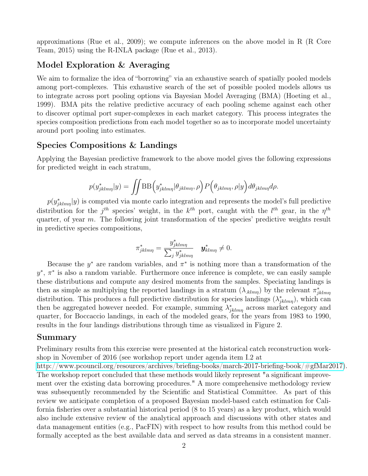approximations (Rue et al., 2009); we compute inferences on the above model in R (R Core Team, 2015) using the R-INLA package (Rue et al., 2013).

## Model Exploration & Averaging

We aim to formalize the idea of "borrowing" via an exhaustive search of spatially pooled models among port-complexes. This exhaustive search of the set of possible pooled models allows us to integrate across port pooling options via Bayesian Model Averaging (BMA) (Hoeting et al., 1999). BMA pits the relative predictive accuracy of each pooling scheme against each other to discover optimal port super-complexes in each market category. This process integrates the species composition predictions from each model together so as to incorporate model uncertainty around port pooling into estimates.

#### Species Compositions & Landings

Applying the Bayesian predictive framework to the above model gives the following expressions for predicted weight in each stratum,

$$
p(y_{jklmn}^*|y) = \iint \text{BB}\Big(y_{jklmn}^*|\theta_{jklmn}, \rho\Big) P\Big(\theta_{jklmn}, \rho|y\Big) d\theta_{jklmn} d\rho.
$$

 $p(y^*_{jklmn}|y)$  is computed via monte carlo integration and represents the model's full predictive distribution for the  $j<sup>th</sup>$  species' weight, in the  $k<sup>th</sup>$  port, caught with the  $l<sup>th</sup>$  gear, in the  $\eta<sup>th</sup>$ quarter, of year  $m$ . The following joint transformation of the species' predictive weights result in predictive species compositions,

$$
\pi_{jklm\eta}^* = \frac{y_{jklm\eta}^*}{\sum_j y_{jklm\eta}^*} \quad \mathbf{y}_{klm\eta}^* \neq 0.
$$

Because the  $y^*$  are random variables, and  $\pi^*$  is nothing more than a transformation of the  $y^*, \pi^*$  is also a random variable. Furthermore once inference is complete, we can easily sample these distributions and compute any desired moments from the samples. Speciating landings is then as simple as multiplying the reported landings in a stratum  $(\lambda_{\text{klmn}})$  by the relevant  $\pi_{jklmn}^*$ distribution. This produces a full predictive distribution for species landings  $(\lambda^*_{jklmn})$ , which can then be aggregated however needed. For example, summing  $\lambda_{jklmn}^*$  across market category and quarter, for Boccaccio landings, in each of the modeled gears, for the years from 1983 to 1990, results in the four landings distributions through time as visualized in Figure 2.

#### Summary

Preliminary results from this exercise were presented at the historical catch reconstruction workshop in November of 2016 (see workshop report under agenda item I.2 at

[http://www.pcouncil.org/resources/archives/briefing-books/march-2017-briefing-book/#gfMar2017\)](http://www.pcouncil.org/resources/archives/briefing-books/march-2017-briefing-book/#gfMar2017). The workshop report concluded that these methods would likely represent "a significant improvement over the existing data borrowing procedures." A more comprehensive methodology review was subsequently recommended by the Scientific and Statistical Committee. As part of this review we anticipate completion of a proposed Bayesian model-based catch estimation for California fisheries over a substantial historical period (8 to 15 years) as a key product, which would also include extensive review of the analytical approach and discussions with other states and data management entities (e.g., PacFIN) with respect to how results from this method could be formally accepted as the best available data and served as data streams in a consistent manner.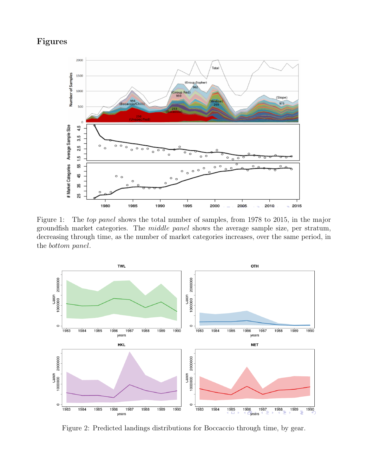## Figures



Figure 1: The *top panel* shows the total number of samples, from 1978 to 2015, in the major groundfish market categories. The middle panel shows the average sample size, per stratum, decreasing through time, as the number of market categories increases, over the same period, in the bottom panel.



Figure 2: Predicted landings distributions for Boccaccio through time, by gear.